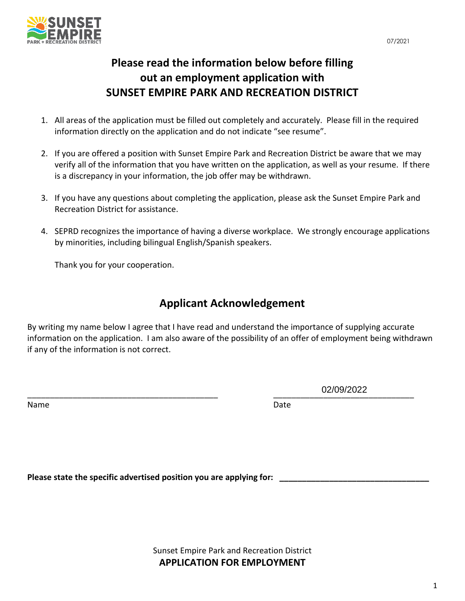

# **Please read the information below before filling out an employment application with SUNSET EMPIRE PARK AND RECREATION DISTRICT**

- 1. All areas of the application must be filled out completely and accurately. Please fill in the required information directly on the application and do not indicate "see resume".
- 2. If you are offered a position with Sunset Empire Park and Recreation District be aware that we may verify all of the information that you have written on the application, as well as your resume. If there is a discrepancy in your information, the job offer may be withdrawn.
- 3. If you have any questions about completing the application, please ask the Sunset Empire Park and Recreation District for assistance.
- 4. SEPRD recognizes the importance of having a diverse workplace. We strongly encourage applications by minorities, including bilingual English/Spanish speakers.

Thank you for your cooperation.

## **Applicant Acknowledgement**

By writing my name below I agree that I have read and understand the importance of supplying accurate information on the application. I am also aware of the possibility of an offer of employment being withdrawn if any of the information is not correct.

Name Date and the Date of the Contract of the Date of the Date of the Date of the Date of the Date of the Date

\_\_\_\_\_\_\_\_\_\_\_\_\_\_\_\_\_\_\_\_\_\_\_\_\_\_\_\_\_\_\_\_\_\_\_\_\_\_\_\_\_\_ \_\_\_\_\_\_\_\_\_\_\_\_\_\_\_\_\_\_\_\_\_\_\_\_\_\_\_\_\_\_\_ 02/09/2022

Please state the specific advertised position you are applying for:

Sunset Empire Park and Recreation District **APPLICATION FOR EMPLOYMENT**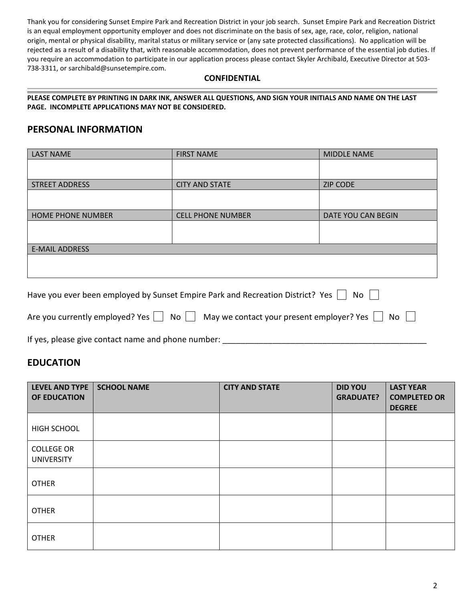Thank you for considering Sunset Empire Park and Recreation District in your job search. Sunset Empire Park and Recreation District is an equal employment opportunity employer and does not discriminate on the basis of sex, age, race, color, religion, national origin, mental or physical disability, marital status or military service or (any sate protected classifications). No application will be rejected as a result of a disability that, with reasonable accommodation, does not prevent performance of the essential job duties. If you require an accommodation to participate in our application process please contact Skyler Archibald, Executive Director at 503- 738-3311, or sarchibald@sunsetempire.com.

#### **CONFIDENTIAL**

**PLEASE COMPLETE BY PRINTING IN DARK INK, ANSWER ALL QUESTIONS, AND SIGN YOUR INITIALS AND NAME ON THE LAST PAGE. INCOMPLETE APPLICATIONS MAY NOT BE CONSIDERED.** 

### **PERSONAL INFORMATION**

| <b>LAST NAME</b>         | <b>FIRST NAME</b>        | MIDDLE NAME        |  |
|--------------------------|--------------------------|--------------------|--|
|                          |                          |                    |  |
| <b>STREET ADDRESS</b>    | <b>CITY AND STATE</b>    | <b>ZIP CODE</b>    |  |
|                          |                          |                    |  |
| <b>HOME PHONE NUMBER</b> | <b>CELL PHONE NUMBER</b> | DATE YOU CAN BEGIN |  |
|                          |                          |                    |  |
| <b>E-MAIL ADDRESS</b>    |                          |                    |  |
|                          |                          |                    |  |
|                          |                          |                    |  |

| Have you ever been employed by Sunset Empire Park and Recreation District? Yes<br>No                    |  |
|---------------------------------------------------------------------------------------------------------|--|
| Are you currently employed? Yes $\Box$ No $\Box$ May we contact your present employer? Yes $\Box$<br>No |  |
|                                                                                                         |  |

If yes, please give contact name and phone number:

### **EDUCATION**

| <b>LEVEL AND TYPE</b><br>OF EDUCATION  | <b>SCHOOL NAME</b> | <b>CITY AND STATE</b> | <b>DID YOU</b><br><b>GRADUATE?</b> | <b>LAST YEAR</b><br><b>COMPLETED OR</b><br><b>DEGREE</b> |
|----------------------------------------|--------------------|-----------------------|------------------------------------|----------------------------------------------------------|
| HIGH SCHOOL                            |                    |                       |                                    |                                                          |
| <b>COLLEGE OR</b><br><b>UNIVERSITY</b> |                    |                       |                                    |                                                          |
| <b>OTHER</b>                           |                    |                       |                                    |                                                          |
| <b>OTHER</b>                           |                    |                       |                                    |                                                          |
| <b>OTHER</b>                           |                    |                       |                                    |                                                          |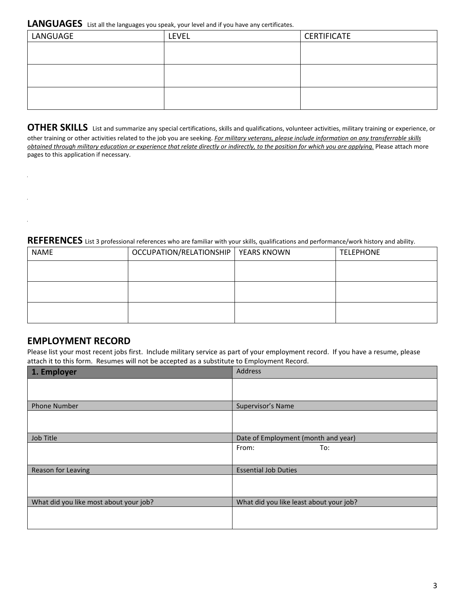#### **LANGUAGES** List all the languages you speak, your level and if you have any certificates.

| LANGUAGE | <b>LEVEL</b> | <b>CERTIFICATE</b> |
|----------|--------------|--------------------|
|          |              |                    |
|          |              |                    |
|          |              |                    |
|          |              |                    |
|          |              |                    |
|          |              |                    |

**OTHER SKILLS** List and summarize any special certifications, skills and qualifications, volunteer activities, military training or experience, or other training or other activities related to the job you are seeking. *For military veterans, please include information on any transferrable skills obtained through military education or experience that relate directly or indirectly, to the position for which you are applying.* Please attach more pages to this application if necessary.

## REFERENCES List 3 professional references who are familiar with your skills, qualifications and performance/work history and ability.

| <b>NAME</b> | OCCUPATION/RELATIONSHIP   YEARS KNOWN | <b>TELEPHONE</b> |
|-------------|---------------------------------------|------------------|
|             |                                       |                  |
|             |                                       |                  |
|             |                                       |                  |
|             |                                       |                  |
|             |                                       |                  |

### **EMPLOYMENT RECORD**

Please list your most recent jobs first. Include military service as part of your employment record. If you have a resume, please attach it to this form. Resumes will not be accepted as a substitute to Employment Record.

| Address                                 |
|-----------------------------------------|
|                                         |
|                                         |
| Supervisor's Name                       |
|                                         |
|                                         |
| Date of Employment (month and year)     |
| From:<br>To:                            |
|                                         |
| <b>Essential Job Duties</b>             |
|                                         |
|                                         |
| What did you like least about your job? |
|                                         |
|                                         |
|                                         |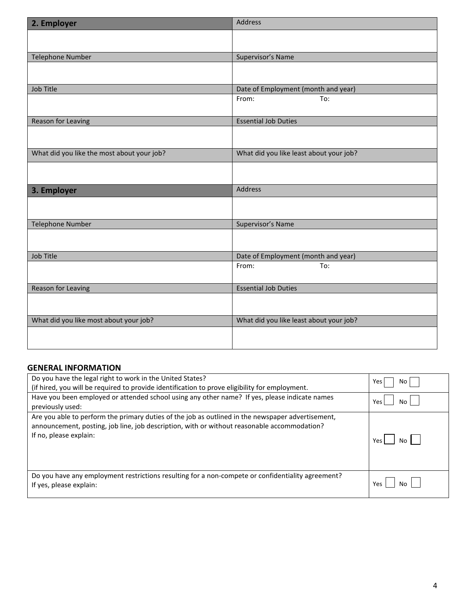| 2. Employer                                | Address                                 |
|--------------------------------------------|-----------------------------------------|
|                                            |                                         |
| <b>Telephone Number</b>                    | Supervisor's Name                       |
|                                            |                                         |
|                                            |                                         |
| Job Title                                  | Date of Employment (month and year)     |
|                                            | To:<br>From:                            |
| Reason for Leaving                         | <b>Essential Job Duties</b>             |
|                                            |                                         |
| What did you like the most about your job? | What did you like least about your job? |
|                                            |                                         |
| 3. Employer                                | Address                                 |
|                                            |                                         |
| <b>Telephone Number</b>                    | Supervisor's Name                       |
|                                            |                                         |
| Job Title                                  | Date of Employment (month and year)     |
|                                            | To:<br>From:                            |
| Reason for Leaving                         | <b>Essential Job Duties</b>             |
|                                            |                                         |
|                                            |                                         |
| What did you like most about your job?     | What did you like least about your job? |

#### **GENERAL INFORMATION**

| Do you have the legal right to work in the United States?                                                                                                                                                                  | Yes           |
|----------------------------------------------------------------------------------------------------------------------------------------------------------------------------------------------------------------------------|---------------|
| (if hired, you will be required to provide identification to prove eligibility for employment.                                                                                                                             | No            |
| Have you been employed or attended school using any other name? If yes, please indicate names                                                                                                                              | Yes           |
| previously used:                                                                                                                                                                                                           | N٥            |
| Are you able to perform the primary duties of the job as outlined in the newspaper advertisement,<br>announcement, posting, job line, job description, with or without reasonable accommodation?<br>If no, please explain: | No I<br>Yes l |
| Do you have any employment restrictions resulting for a non-compete or confidentiality agreement?<br>If yes, please explain:                                                                                               | Yes.          |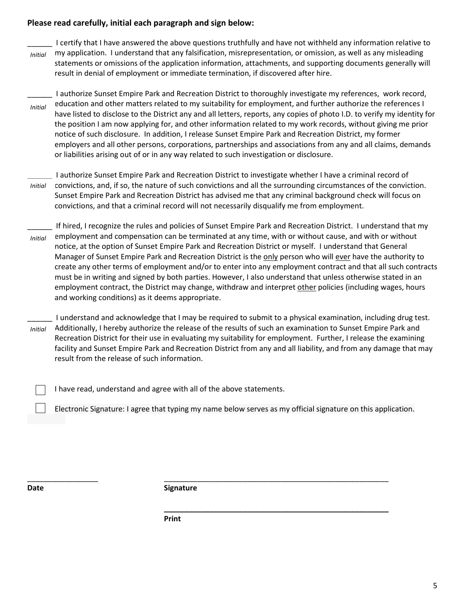#### **Please read carefully, initial each paragraph and sign below:**

I certify that I have answered the above questions truthfully and have not withheld any information relative to my application. I understand that any falsification, misrepresentation, or omission, as well as any misleading statements or omissions of the application information, attachments, and supporting documents generally will result in denial of employment or immediate termination, if discovered after hire. *Initial*

\_\_\_\_\_\_ I authorize Sunset Empire Park and Recreation District to thoroughly investigate my references, work record, education and other matters related to my suitability for employment, and further authorize the references I have listed to disclose to the District any and all letters, reports, any copies of photo I.D. to verify my identity for the position I am now applying for, and other information related to my work records, without giving me prior notice of such disclosure. In addition, I release Sunset Empire Park and Recreation District, my former employers and all other persons, corporations, partnerships and associations from any and all claims, demands or liabilities arising out of or in any way related to such investigation or disclosure. *Initial*

- \_\_\_\_\_\_ I authorize Sunset Empire Park and Recreation District to investigate whether I have a criminal record of convictions, and, if so, the nature of such convictions and all the surrounding circumstances of the conviction. Sunset Empire Park and Recreation District has advised me that any criminal background check will focus on convictions, and that a criminal record will not necessarily disqualify me from employment. *Initial*
- If hired, I recognize the rules and policies of Sunset Empire Park and Recreation District. I understand that my employment and compensation can be terminated at any time, with or without cause, and with or without notice, at the option of Sunset Empire Park and Recreation District or myself. I understand that General Manager of Sunset Empire Park and Recreation District is the only person who will ever have the authority to create any other terms of employment and/or to enter into any employment contract and that all such contracts must be in writing and signed by both parties. However, I also understand that unless otherwise stated in an employment contract, the District may change, withdraw and interpret other policies (including wages, hours and working conditions) as it deems appropriate. *Initial*
- \_\_\_\_\_\_ I understand and acknowledge that I may be required to submit to a physical examination, including drug test. Additionally, I hereby authorize the release of the results of such an examination to Sunset Empire Park and Recreation District for their use in evaluating my suitability for employment. Further, I release the examining facility and Sunset Empire Park and Recreation District from any and all liability, and from any damage that may result from the release of such information. *Initial*

I have read, understand and agree with all of the above statements.

Electronic Signature: I agree that typing my name below serves as my official signature on this application.

**\_\_\_\_\_\_\_\_\_\_\_\_\_\_\_\_\_\_\_\_\_\_\_\_\_\_\_\_\_\_\_\_\_\_\_\_\_\_\_\_\_\_\_\_\_\_\_\_\_\_\_\_\_\_**

**Date Signature** 

\_\_\_\_\_\_\_\_\_\_\_\_\_\_\_\_\_ \_\_\_\_\_\_\_\_\_\_\_\_\_\_\_\_\_\_\_\_\_\_\_\_\_\_\_\_\_\_\_\_\_\_\_\_\_\_\_\_\_\_\_\_\_\_\_\_\_\_\_\_\_\_

**Print**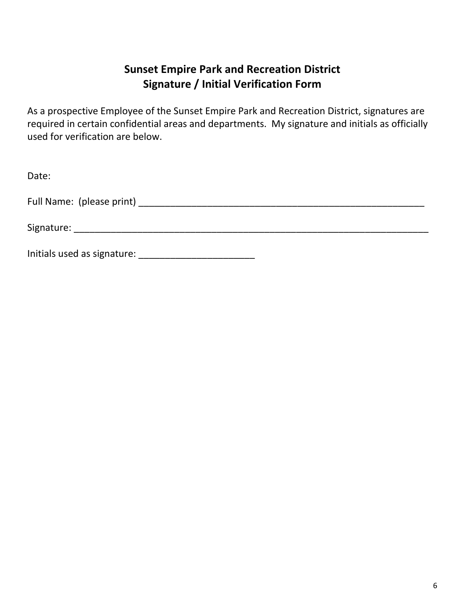## **Sunset Empire Park and Recreation District Signature / Initial Verification Form**

As a prospective Employee of the Sunset Empire Park and Recreation District, signatures are required in certain confidential areas and departments. My signature and initials as officially used for verification are below.

| Date:                       |  |
|-----------------------------|--|
|                             |  |
|                             |  |
| Initials used as signature: |  |